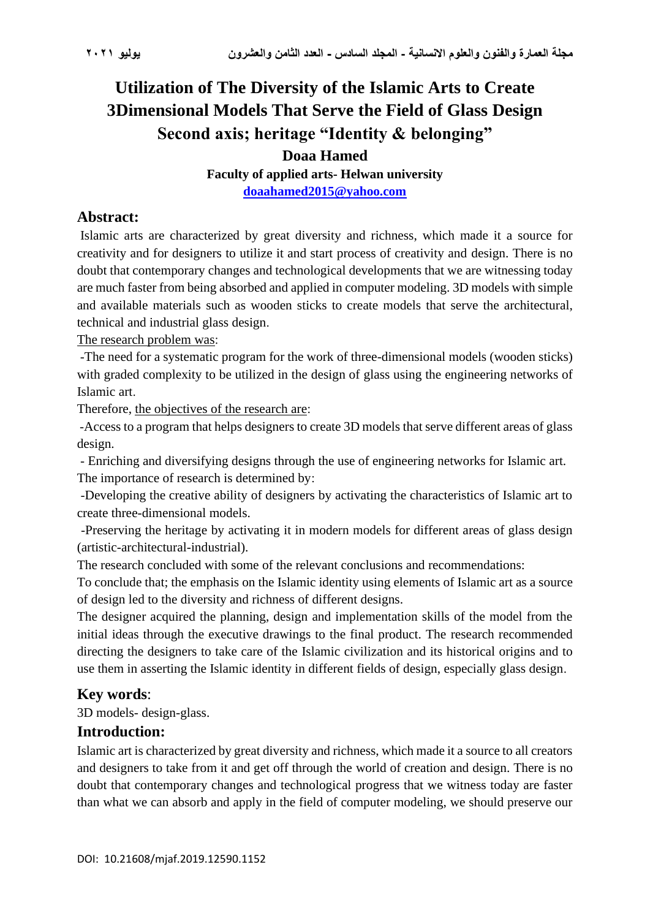# **Utilization of The Diversity of the Islamic Arts to Create 3Dimensional Models That Serve the Field of Glass Design Second axis; heritage "Identity & belonging" Doaa Hamed**

**Faculty of applied arts- Helwan university [doaahamed2015@yahoo.com](mailto:doaahamed2015@yahoo.com)**

# **Abstract :**

Islamic arts are characterized by great diversity and richness, which made it a source for creativity and for designers to utilize it and start process of creativity and design. There is no doubt that contemporary changes and technological developments that we are witnessing today are much faster from being absorbed and applied in computer modeling. 3D models with simple and available materials such as wooden sticks to create models that serve the architectural, technical and industrial glass design.

The research problem was:

 -The need for a systematic program for the work of three-dimensional models (wooden sticks) with graded complexity to be utilized in the design of glass using the engineering networks of Islamic art.

Therefore, the objectives of the research are:

 -Access to a program that helps designers to create 3D models that serve different areas of glass design.

- Enriching and diversifying designs through the use of engineering networks for Islamic art.

The importance of research is determined by :

 -Developing the creative ability of designers by activating the characteristics of Islamic art to create three-dimensional models.

 -Preserving the heritage by activating it in modern models for different areas of glass design (artistic-architectural-industrial).

The research concluded with some of the relevant conclusions and recommendations:

To conclude that; the emphasis on the Islamic identity using elements of Islamic art as a source of design led to the diversity and richness of different designs.

The designer acquired the planning, design and implementation skills of the model from the initial ideas through the executive drawings to the final product. The research recommended directing the designers to take care of the Islamic civilization and its historical origins and to use them in asserting the Islamic identity in different fields of design, especially glass design.

## **Key words**:

3D models- design-glass.

## **Introduction:**

Islamic art is characterized by great diversity and richness, which made it a source to all creators and designers to take from it and get off through the world of creation and design. There is no doubt that contemporary changes and technological progress that we witness today are faster than what we can absorb and apply in the field of computer modeling, we should preserve our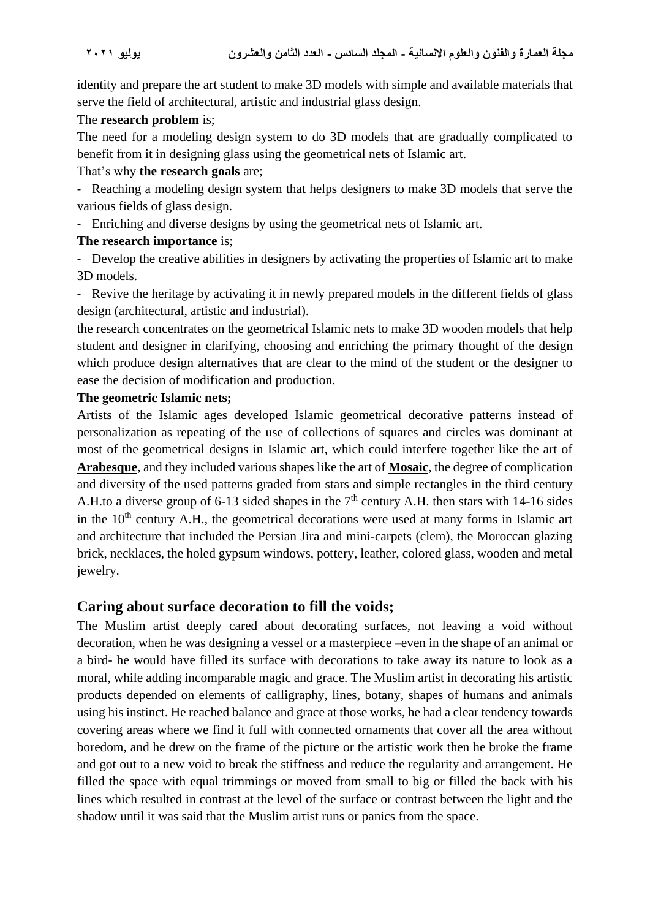identity and prepare the art student to make 3D models with simple and available materials that serve the field of architectural, artistic and industrial glass design.

#### The **research problem** is;

The need for a modeling design system to do 3D models that are gradually complicated to benefit from it in designing glass using the geometrical nets of Islamic art.

#### That's why **the research goals** are;

- Reaching a modeling design system that helps designers to make 3D models that serve the various fields of glass design.

- Enriching and diverse designs by using the geometrical nets of Islamic art.

## **The research importance** is;

- Develop the creative abilities in designers by activating the properties of Islamic art to make 3D models.

- Revive the heritage by activating it in newly prepared models in the different fields of glass design (architectural, artistic and industrial).

the research concentrates on the geometrical Islamic nets to make 3D wooden models that help student and designer in clarifying, choosing and enriching the primary thought of the design which produce design alternatives that are clear to the mind of the student or the designer to ease the decision of modification and production.

#### **The geometric Islamic nets;**

Artists of the Islamic ages developed Islamic geometrical decorative patterns instead of personalization as repeating of the use of collections of squares and circles was dominant at most of the geometrical designs in Islamic art, which could interfere together like the art of **Arabesque**, and they included various shapes like the art of **Mosaic**, the degree of complication and diversity of the used patterns graded from stars and simple rectangles in the third century A.H.to a diverse group of 6-13 sided shapes in the  $7<sup>th</sup>$  century A.H. then stars with 14-16 sides in the  $10<sup>th</sup>$  century A.H., the geometrical decorations were used at many forms in Islamic art and architecture that included the Persian Jira and mini-carpets (clem), the Moroccan glazing brick, necklaces, the holed gypsum windows, pottery, leather, colored glass, wooden and metal jewelry.

## **Caring about surface decoration to fill the voids;**

The Muslim artist deeply cared about decorating surfaces, not leaving a void without decoration, when he was designing a vessel or a masterpiece –even in the shape of an animal or a bird- he would have filled its surface with decorations to take away its nature to look as a moral, while adding incomparable magic and grace. The Muslim artist in decorating his artistic products depended on elements of calligraphy, lines, botany, shapes of humans and animals using his instinct. He reached balance and grace at those works, he had a clear tendency towards covering areas where we find it full with connected ornaments that cover all the area without boredom, and he drew on the frame of the picture or the artistic work then he broke the frame and got out to a new void to break the stiffness and reduce the regularity and arrangement. He filled the space with equal trimmings or moved from small to big or filled the back with his lines which resulted in contrast at the level of the surface or contrast between the light and the shadow until it was said that the Muslim artist runs or panics from the space.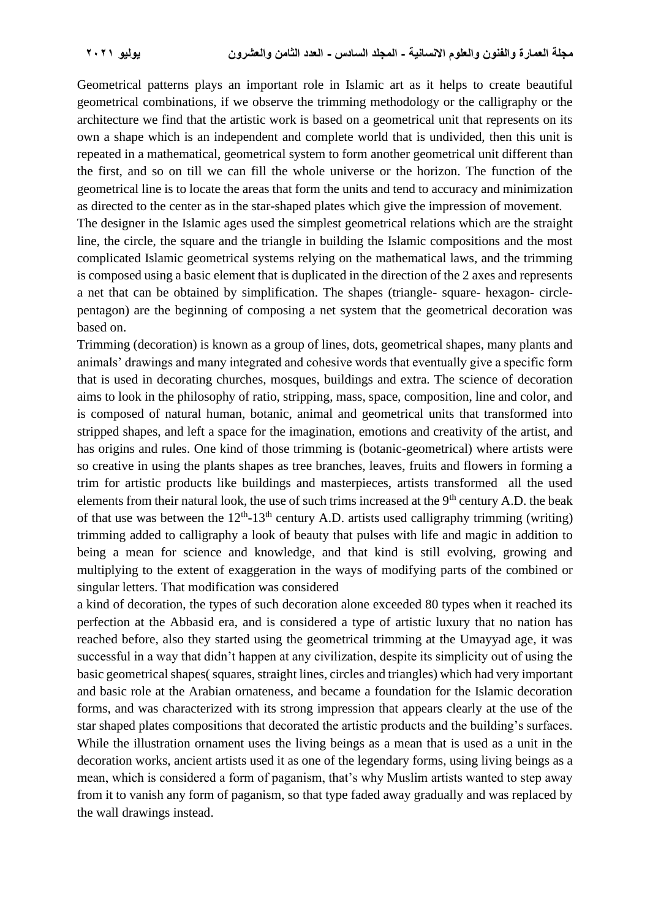Geometrical patterns plays an important role in Islamic art as it helps to create beautiful geometrical combinations, if we observe the trimming methodology or the calligraphy or the architecture we find that the artistic work is based on a geometrical unit that represents on its own a shape which is an independent and complete world that is undivided, then this unit is repeated in a mathematical, geometrical system to form another geometrical unit different than the first, and so on till we can fill the whole universe or the horizon. The function of the geometrical line is to locate the areas that form the units and tend to accuracy and minimization as directed to the center as in the star-shaped plates which give the impression of movement. The designer in the Islamic ages used the simplest geometrical relations which are the straight

line, the circle, the square and the triangle in building the Islamic compositions and the most complicated Islamic geometrical systems relying on the mathematical laws, and the trimming is composed using a basic element that is duplicated in the direction of the 2 axes and represents a net that can be obtained by simplification. The shapes (triangle- square- hexagon- circlepentagon) are the beginning of composing a net system that the geometrical decoration was based on.

Trimming (decoration) is known as a group of lines, dots, geometrical shapes, many plants and animals' drawings and many integrated and cohesive words that eventually give a specific form that is used in decorating churches, mosques, buildings and extra. The science of decoration aims to look in the philosophy of ratio, stripping, mass, space, composition, line and color, and is composed of natural human, botanic, animal and geometrical units that transformed into stripped shapes, and left a space for the imagination, emotions and creativity of the artist, and has origins and rules. One kind of those trimming is (botanic-geometrical) where artists were so creative in using the plants shapes as tree branches, leaves, fruits and flowers in forming a trim for artistic products like buildings and masterpieces, artists transformed all the used elements from their natural look, the use of such trims increased at the  $9<sup>th</sup>$  century A.D. the beak of that use was between the  $12<sup>th</sup>$ -13<sup>th</sup> century A.D. artists used calligraphy trimming (writing) trimming added to calligraphy a look of beauty that pulses with life and magic in addition to being a mean for science and knowledge, and that kind is still evolving, growing and multiplying to the extent of exaggeration in the ways of modifying parts of the combined or singular letters. That modification was considered

a kind of decoration, the types of such decoration alone exceeded 80 types when it reached its perfection at the Abbasid era, and is considered a type of artistic luxury that no nation has reached before, also they started using the geometrical trimming at the Umayyad age, it was successful in a way that didn't happen at any civilization, despite its simplicity out of using the basic geometrical shapes( squares, straight lines, circles and triangles) which had very important and basic role at the Arabian ornateness, and became a foundation for the Islamic decoration forms, and was characterized with its strong impression that appears clearly at the use of the star shaped plates compositions that decorated the artistic products and the building's surfaces. While the illustration ornament uses the living beings as a mean that is used as a unit in the decoration works, ancient artists used it as one of the legendary forms, using living beings as a mean, which is considered a form of paganism, that's why Muslim artists wanted to step away from it to vanish any form of paganism, so that type faded away gradually and was replaced by the wall drawings instead.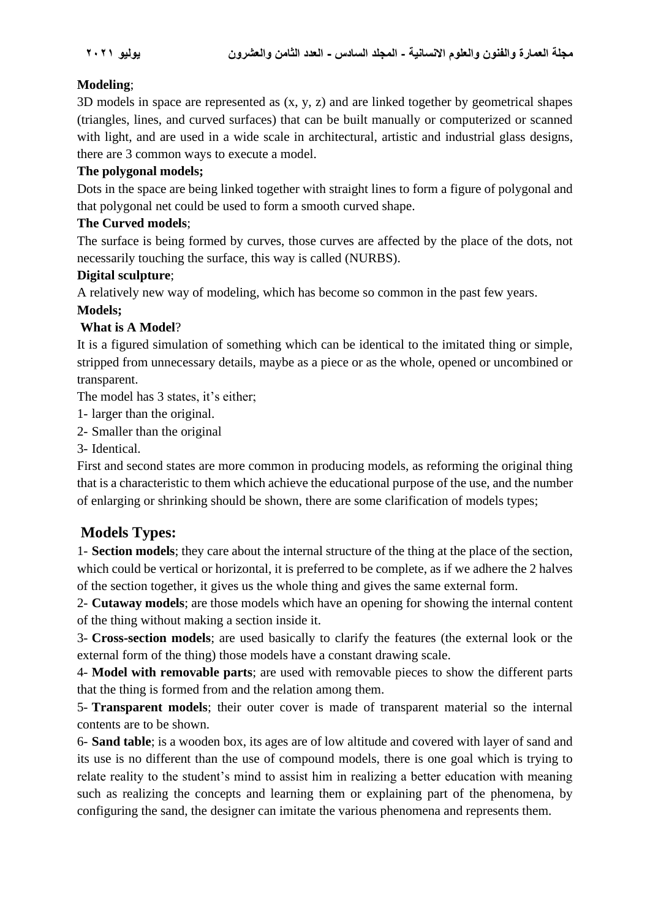# **Modeling**;

3D models in space are represented as (x, y, z) and are linked together by geometrical shapes (triangles, lines, and curved surfaces) that can be built manually or computerized or scanned with light, and are used in a wide scale in architectural, artistic and industrial glass designs, there are 3 common ways to execute a model.

## **The polygonal models;**

Dots in the space are being linked together with straight lines to form a figure of polygonal and that polygonal net could be used to form a smooth curved shape.

## **The Curved models**;

The surface is being formed by curves, those curves are affected by the place of the dots, not necessarily touching the surface, this way is called (NURBS).

## **Digital sculpture**;

A relatively new way of modeling, which has become so common in the past few years.

## **Models;**

## **What is A Model**?

It is a figured simulation of something which can be identical to the imitated thing or simple, stripped from unnecessary details, maybe as a piece or as the whole, opened or uncombined or transparent.

The model has 3 states, it's either;

1- larger than the original.

2- Smaller than the original

3- Identical.

First and second states are more common in producing models, as reforming the original thing that is a characteristic to them which achieve the educational purpose of the use, and the number of enlarging or shrinking should be shown, there are some clarification of models types;

# **Models Types:**

1- **Section models**; they care about the internal structure of the thing at the place of the section, which could be vertical or horizontal, it is preferred to be complete, as if we adhere the 2 halves of the section together, it gives us the whole thing and gives the same external form.

2- **Cutaway models**; are those models which have an opening for showing the internal content of the thing without making a section inside it.

3- **Cross-section models**; are used basically to clarify the features (the external look or the external form of the thing) those models have a constant drawing scale.

4- **Model with removable parts**; are used with removable pieces to show the different parts that the thing is formed from and the relation among them.

5- **Transparent models**; their outer cover is made of transparent material so the internal contents are to be shown.

6- **Sand table**; is a wooden box, its ages are of low altitude and covered with layer of sand and its use is no different than the use of compound models, there is one goal which is trying to relate reality to the student's mind to assist him in realizing a better education with meaning such as realizing the concepts and learning them or explaining part of the phenomena, by configuring the sand, the designer can imitate the various phenomena and represents them.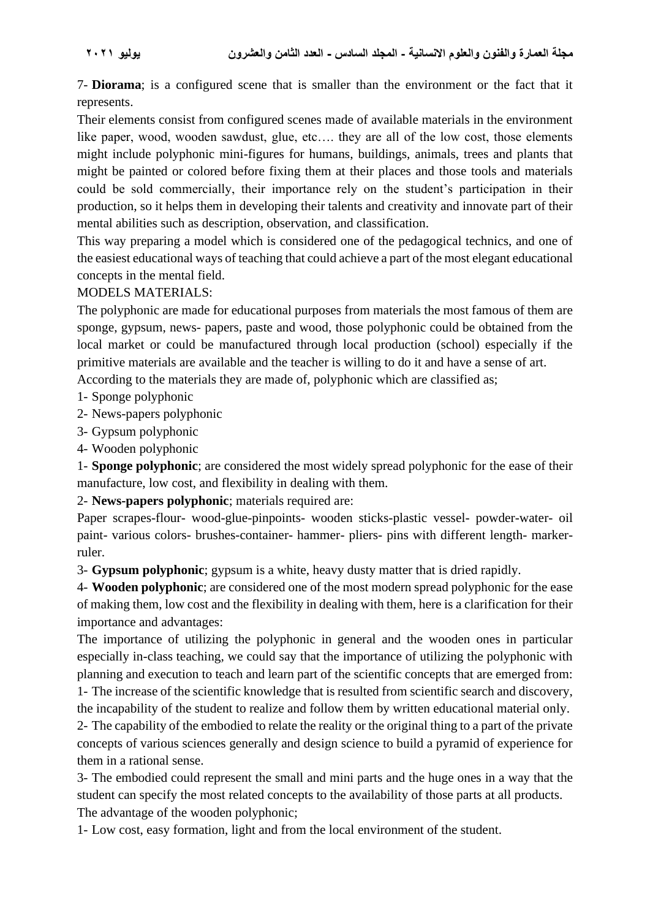7- **Diorama**; is a configured scene that is smaller than the environment or the fact that it represents.

Their elements consist from configured scenes made of available materials in the environment like paper, wood, wooden sawdust, glue, etc…. they are all of the low cost, those elements might include polyphonic mini-figures for humans, buildings, animals, trees and plants that might be painted or colored before fixing them at their places and those tools and materials could be sold commercially, their importance rely on the student's participation in their production, so it helps them in developing their talents and creativity and innovate part of their mental abilities such as description, observation, and classification.

This way preparing a model which is considered one of the pedagogical technics, and one of the easiest educational ways of teaching that could achieve a part of the most elegant educational concepts in the mental field.

## MODELS MATERIALS:

The polyphonic are made for educational purposes from materials the most famous of them are sponge, gypsum, news- papers, paste and wood, those polyphonic could be obtained from the local market or could be manufactured through local production (school) especially if the primitive materials are available and the teacher is willing to do it and have a sense of art. According to the materials they are made of, polyphonic which are classified as;

1- Sponge polyphonic

2- News-papers polyphonic

- 3- Gypsum polyphonic
- 4- Wooden polyphonic

1- **Sponge polyphonic**; are considered the most widely spread polyphonic for the ease of their manufacture, low cost, and flexibility in dealing with them.

2- **News-papers polyphonic**; materials required are:

Paper scrapes-flour- wood-glue-pinpoints- wooden sticks-plastic vessel- powder-water- oil paint- various colors- brushes-container- hammer- pliers- pins with different length- markerruler.

3- **Gypsum polyphonic**; gypsum is a white, heavy dusty matter that is dried rapidly.

4- **Wooden polyphonic**; are considered one of the most modern spread polyphonic for the ease of making them, low cost and the flexibility in dealing with them, here is a clarification for their importance and advantages:

The importance of utilizing the polyphonic in general and the wooden ones in particular especially in-class teaching, we could say that the importance of utilizing the polyphonic with planning and execution to teach and learn part of the scientific concepts that are emerged from: 1- The increase of the scientific knowledge that is resulted from scientific search and discovery,

the incapability of the student to realize and follow them by written educational material only.

2- The capability of the embodied to relate the reality or the original thing to a part of the private concepts of various sciences generally and design science to build a pyramid of experience for them in a rational sense.

3- The embodied could represent the small and mini parts and the huge ones in a way that the student can specify the most related concepts to the availability of those parts at all products. The advantage of the wooden polyphonic;

1- Low cost, easy formation, light and from the local environment of the student.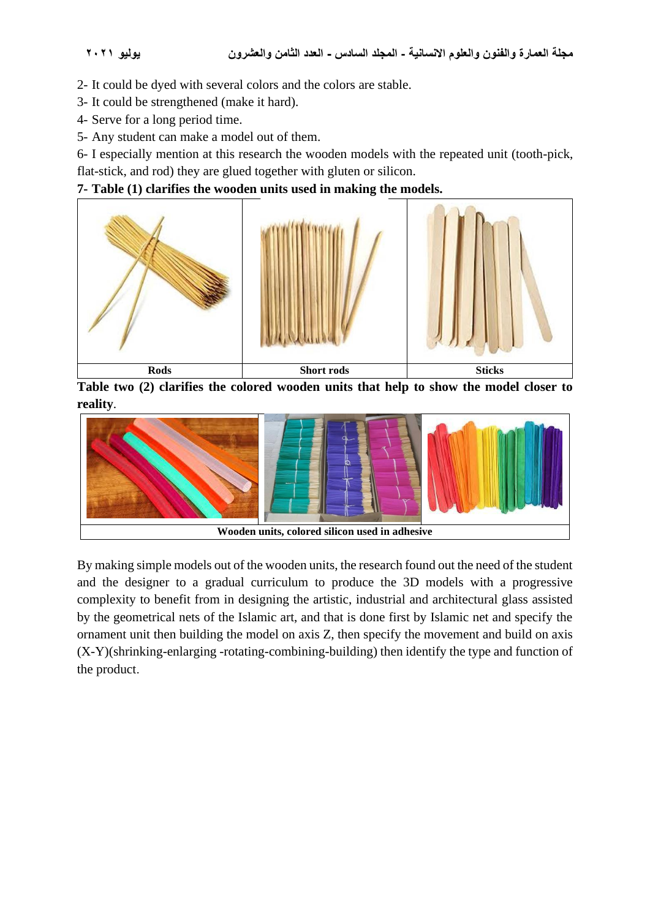2- It could be dyed with several colors and the colors are stable.

3- It could be strengthened (make it hard).

4- Serve for a long period time.

5- Any student can make a model out of them.

6- I especially mention at this research the wooden models with the repeated unit (tooth-pick, flat-stick, and rod) they are glued together with gluten or silicon.

#### **7- Table (1) clarifies the wooden units used in making the models.**



**Table two (2) clarifies the colored wooden units that help to show the model closer to reality**.



By making simple models out of the wooden units, the research found out the need of the student and the designer to a gradual curriculum to produce the 3D models with a progressive complexity to benefit from in designing the artistic, industrial and architectural glass assisted by the geometrical nets of the Islamic art, and that is done first by Islamic net and specify the ornament unit then building the model on axis Z, then specify the movement and build on axis (X-Y)(shrinking-enlarging -rotating-combining-building) then identify the type and function of the product.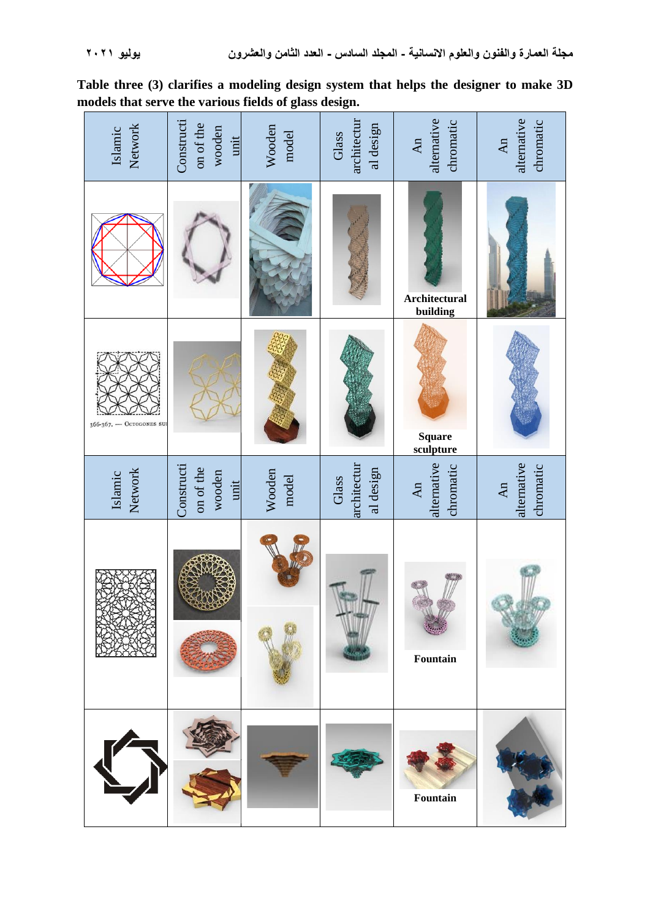| Network<br>Islamic       | Constructi<br>on of the<br>wooden<br>unit | Wooden<br>model | architectur<br>al design<br>Glass | alternative<br>chromatic<br>An | alternative<br>chromatic<br>An                     |
|--------------------------|-------------------------------------------|-----------------|-----------------------------------|--------------------------------|----------------------------------------------------|
|                          |                                           |                 |                                   | Architectural<br>building      |                                                    |
| 366-367. - Octogones sur |                                           |                 |                                   | Square<br>sculpture            |                                                    |
| Network<br>Islamic       | Constructi<br>on of the<br>wooden<br>unit | Wooden<br>model | architectur<br>al design<br>Glass | alternative<br>chromatic<br>An | alternative<br>chromatic<br>$\mathbf{A}\mathbf{n}$ |
|                          |                                           |                 |                                   | Fountain                       |                                                    |
|                          |                                           |                 |                                   | $\bf Foundation$               |                                                    |

**Table three (3) clarifies a modeling design system that helps the designer to make 3D models that serve the various fields of glass design.**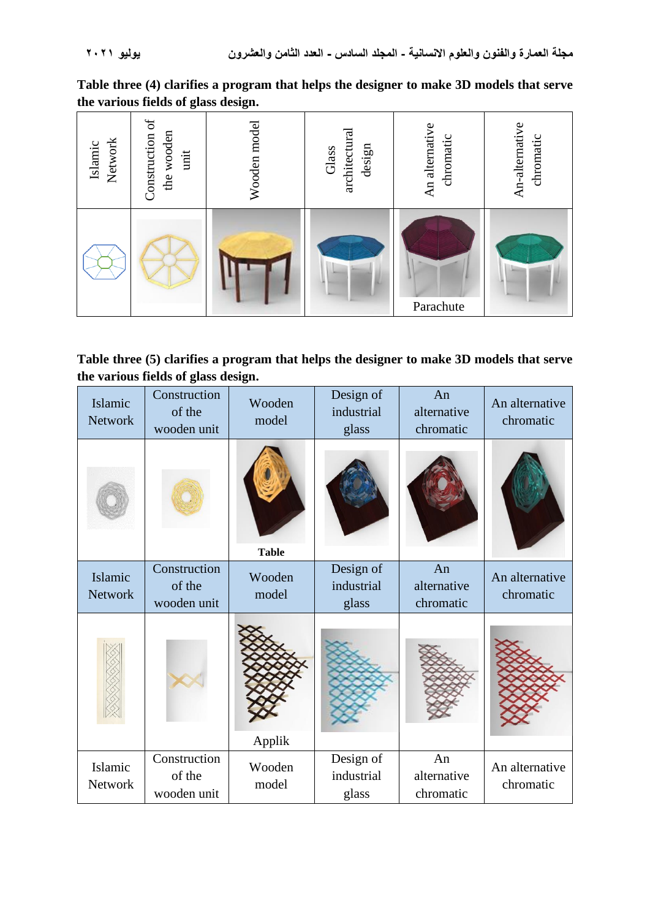**Table three (4) clarifies a program that helps the designer to make 3D models that serve the various fields of glass design.**

| Network<br>Islamic | Construction of<br>the wooden<br>unit | Wooden model | architectural<br>design<br>Glass | in alternative<br>chromatic<br>⋖ | An-alternative<br>chromatic |
|--------------------|---------------------------------------|--------------|----------------------------------|----------------------------------|-----------------------------|
|                    |                                       |              |                                  | Parachute                        |                             |

**Table three (5) clarifies a program that helps the designer to make 3D models that serve the various fields of glass design.**

| Islamic<br><b>Network</b> | Construction<br>of the<br>wooden unit | Wooden<br>model | Design of<br>industrial<br>glass | An<br>alternative<br>chromatic | An alternative<br>chromatic |
|---------------------------|---------------------------------------|-----------------|----------------------------------|--------------------------------|-----------------------------|
|                           |                                       | <b>Table</b>    |                                  |                                |                             |
| Islamic<br><b>Network</b> | Construction<br>of the<br>wooden unit | Wooden<br>model | Design of<br>industrial<br>glass | An<br>alternative<br>chromatic | An alternative<br>chromatic |
|                           |                                       | Applik          |                                  |                                |                             |
| Islamic<br><b>Network</b> | Construction<br>of the<br>wooden unit | Wooden<br>model | Design of<br>industrial<br>glass | An<br>alternative<br>chromatic | An alternative<br>chromatic |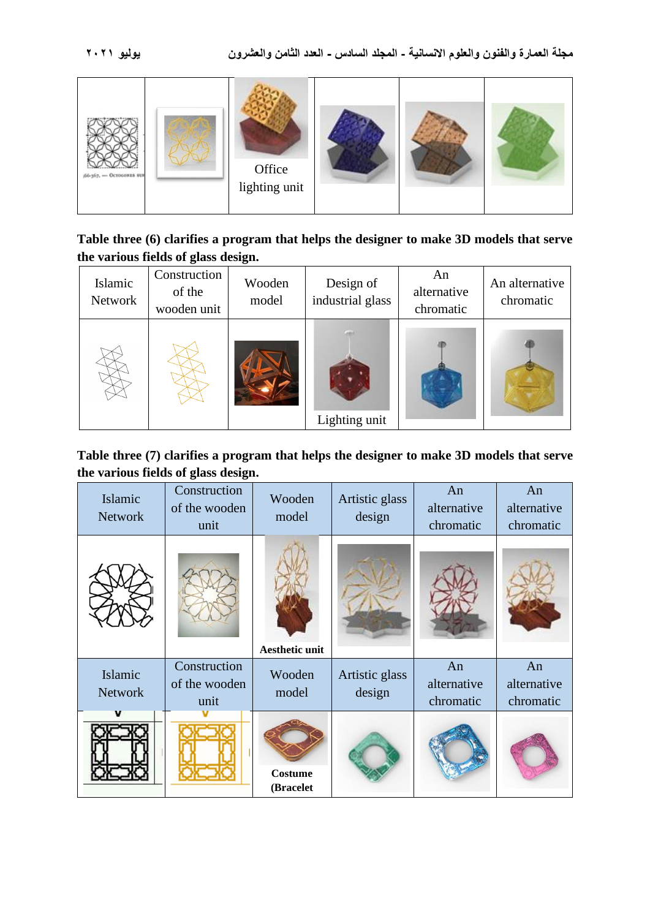

**Table three (6) clarifies a program that helps the designer to make 3D models that serve the various fields of glass design.**

| Islamic<br>Network | Construction<br>of the<br>wooden unit | Wooden<br>model | Design of<br>industrial glass | An<br>alternative<br>chromatic | An alternative<br>chromatic |
|--------------------|---------------------------------------|-----------------|-------------------------------|--------------------------------|-----------------------------|
|                    |                                       |                 | Lighting unit                 |                                |                             |

**Table three (7) clarifies a program that helps the designer to make 3D models that serve the various fields of glass design.**

| Islamic<br><b>Network</b> | Construction<br>of the wooden<br>unit | Wooden<br>model       | Artistic glass<br>design | An<br>alternative<br>chromatic | An<br>alternative<br>chromatic |
|---------------------------|---------------------------------------|-----------------------|--------------------------|--------------------------------|--------------------------------|
|                           |                                       | <b>Aesthetic unit</b> |                          |                                |                                |
| Islamic<br><b>Network</b> | Construction<br>of the wooden<br>unit | Wooden<br>model       | Artistic glass<br>design | An<br>alternative<br>chromatic | An<br>alternative<br>chromatic |
|                           |                                       | Costume<br>(Bracelet  |                          |                                |                                |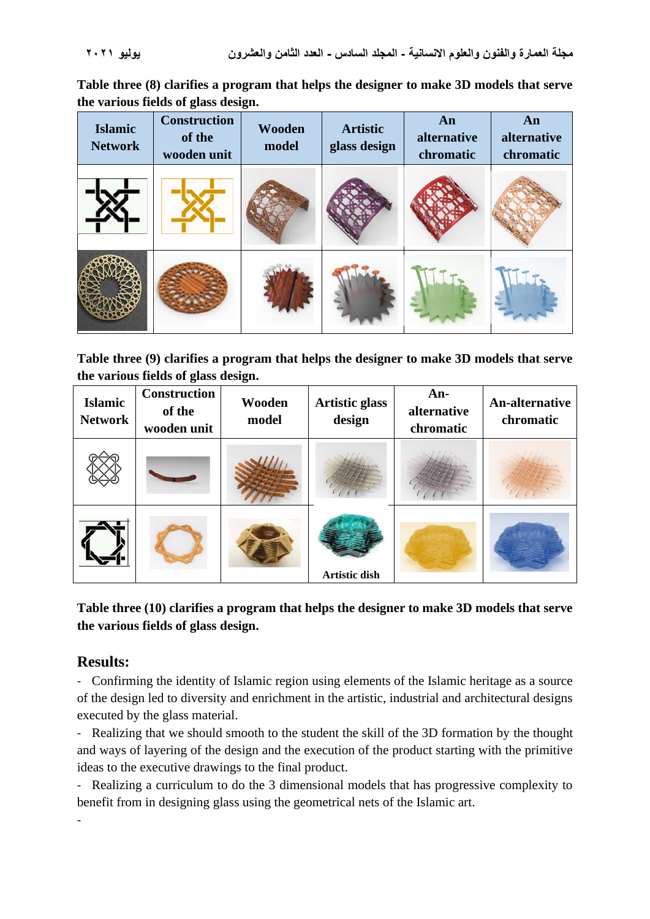**Table three (8) clarifies a program that helps the designer to make 3D models that serve the various fields of glass design.**

| <b>Islamic</b><br><b>Network</b> | <b>Construction</b><br>of the<br>wooden unit | Wooden<br>model | <b>Artistic</b><br>glass design | An<br>alternative<br>chromatic | An<br>alternative<br>chromatic |
|----------------------------------|----------------------------------------------|-----------------|---------------------------------|--------------------------------|--------------------------------|
|                                  |                                              |                 |                                 |                                |                                |
|                                  |                                              |                 |                                 |                                |                                |

**Table three (9) clarifies a program that helps the designer to make 3D models that serve the various fields of glass design.** 

| <b>Islamic</b><br><b>Network</b> | <b>Construction</b><br>of the<br>wooden unit | Wooden<br>model | <b>Artistic glass</b><br>design | An-<br>alternative<br>chromatic | <b>An-alternative</b><br>chromatic |
|----------------------------------|----------------------------------------------|-----------------|---------------------------------|---------------------------------|------------------------------------|
|                                  |                                              |                 |                                 |                                 |                                    |
|                                  |                                              |                 | Artistic dish                   |                                 |                                    |

**Table three (10) clarifies a program that helps the designer to make 3D models that serve the various fields of glass design.**

#### **Results:**

-

- Confirming the identity of Islamic region using elements of the Islamic heritage as a source of the design led to diversity and enrichment in the artistic, industrial and architectural designs executed by the glass material.

- Realizing that we should smooth to the student the skill of the 3D formation by the thought and ways of layering of the design and the execution of the product starting with the primitive ideas to the executive drawings to the final product.

- Realizing a curriculum to do the 3 dimensional models that has progressive complexity to benefit from in designing glass using the geometrical nets of the Islamic art.